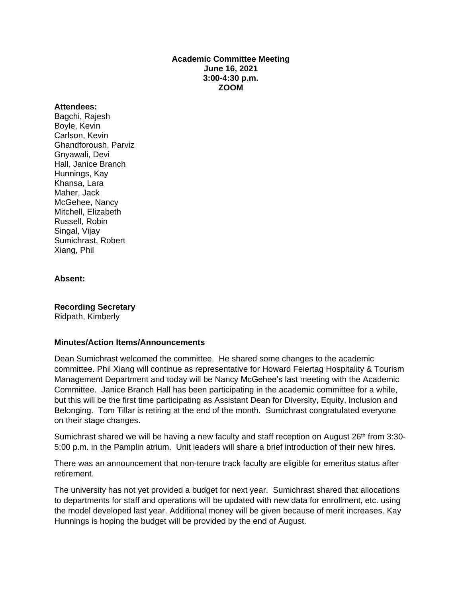### **Academic Committee Meeting June 16, 2021 3:00-4:30 p.m. ZOOM**

#### **Attendees:**

Bagchi, Rajesh Boyle, Kevin Carlson, Kevin Ghandforoush, Parviz Gnyawali, Devi Hall, Janice Branch Hunnings, Kay Khansa, Lara Maher, Jack McGehee, Nancy Mitchell, Elizabeth Russell, Robin Singal, Vijay Sumichrast, Robert Xiang, Phil

### **Absent:**

**Recording Secretary** Ridpath, Kimberly

#### **Minutes/Action Items/Announcements**

Dean Sumichrast welcomed the committee. He shared some changes to the academic committee. Phil Xiang will continue as representative for Howard Feiertag Hospitality & Tourism Management Department and today will be Nancy McGehee's last meeting with the Academic Committee. Janice Branch Hall has been participating in the academic committee for a while, but this will be the first time participating as Assistant Dean for Diversity, Equity, Inclusion and Belonging. Tom Tillar is retiring at the end of the month. Sumichrast congratulated everyone on their stage changes.

Sumichrast shared we will be having a new faculty and staff reception on August 26<sup>th</sup> from 3:30-5:00 p.m. in the Pamplin atrium. Unit leaders will share a brief introduction of their new hires.

There was an announcement that non-tenure track faculty are eligible for emeritus status after retirement.

The university has not yet provided a budget for next year. Sumichrast shared that allocations to departments for staff and operations will be updated with new data for enrollment, etc. using the model developed last year. Additional money will be given because of merit increases. Kay Hunnings is hoping the budget will be provided by the end of August.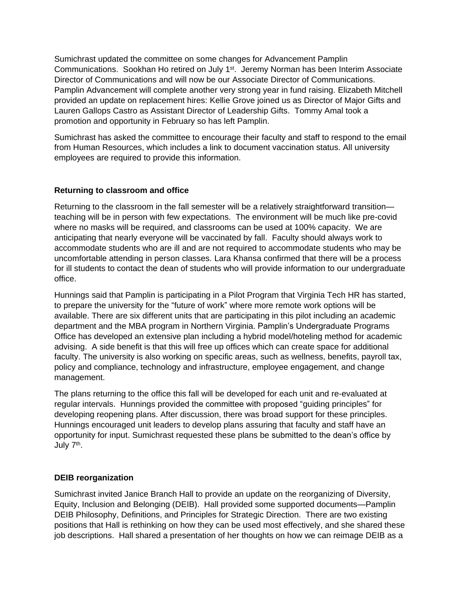Sumichrast updated the committee on some changes for Advancement Pamplin Communications. Sookhan Ho retired on July 1<sup>st</sup>. Jeremy Norman has been Interim Associate Director of Communications and will now be our Associate Director of Communications. Pamplin Advancement will complete another very strong year in fund raising. Elizabeth Mitchell provided an update on replacement hires: Kellie Grove joined us as Director of Major Gifts and Lauren Gallops Castro as Assistant Director of Leadership Gifts. Tommy Amal took a promotion and opportunity in February so has left Pamplin.

Sumichrast has asked the committee to encourage their faculty and staff to respond to the email from Human Resources, which includes a link to document vaccination status. All university employees are required to provide this information.

# **Returning to classroom and office**

Returning to the classroom in the fall semester will be a relatively straightforward transition teaching will be in person with few expectations. The environment will be much like pre-covid where no masks will be required, and classrooms can be used at 100% capacity. We are anticipating that nearly everyone will be vaccinated by fall. Faculty should always work to accommodate students who are ill and are not required to accommodate students who may be uncomfortable attending in person classes. Lara Khansa confirmed that there will be a process for ill students to contact the dean of students who will provide information to our undergraduate office.

Hunnings said that Pamplin is participating in a Pilot Program that Virginia Tech HR has started, to prepare the university for the "future of work" where more remote work options will be available. There are six different units that are participating in this pilot including an academic department and the MBA program in Northern Virginia. Pamplin's Undergraduate Programs Office has developed an extensive plan including a hybrid model/hoteling method for academic advising. A side benefit is that this will free up offices which can create space for additional faculty. The university is also working on specific areas, such as wellness, benefits, payroll tax, policy and compliance, technology and infrastructure, employee engagement, and change management.

The plans returning to the office this fall will be developed for each unit and re-evaluated at regular intervals. Hunnings provided the committee with proposed "guiding principles" for developing reopening plans. After discussion, there was broad support for these principles. Hunnings encouraged unit leaders to develop plans assuring that faculty and staff have an opportunity for input. Sumichrast requested these plans be submitted to the dean's office by July 7<sup>th</sup>.

# **DEIB reorganization**

Sumichrast invited Janice Branch Hall to provide an update on the reorganizing of Diversity, Equity, Inclusion and Belonging (DEIB). Hall provided some supported documents—Pamplin DEIB Philosophy, Definitions, and Principles for Strategic Direction. There are two existing positions that Hall is rethinking on how they can be used most effectively, and she shared these job descriptions. Hall shared a presentation of her thoughts on how we can reimage DEIB as a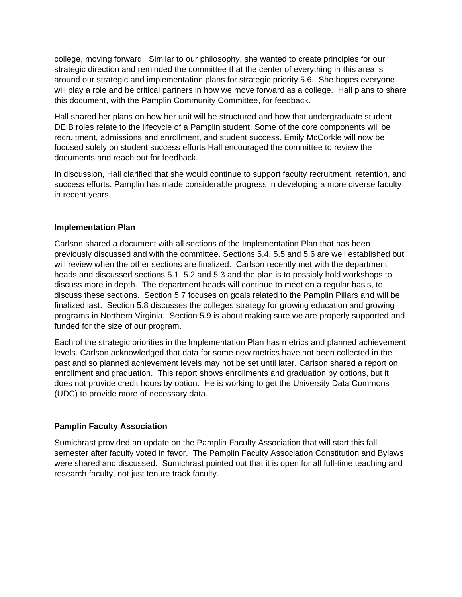college, moving forward. Similar to our philosophy, she wanted to create principles for our strategic direction and reminded the committee that the center of everything in this area is around our strategic and implementation plans for strategic priority 5.6. She hopes everyone will play a role and be critical partners in how we move forward as a college. Hall plans to share this document, with the Pamplin Community Committee, for feedback.

Hall shared her plans on how her unit will be structured and how that undergraduate student DEIB roles relate to the lifecycle of a Pamplin student. Some of the core components will be recruitment, admissions and enrollment, and student success. Emily McCorkle will now be focused solely on student success efforts Hall encouraged the committee to review the documents and reach out for feedback.

In discussion, Hall clarified that she would continue to support faculty recruitment, retention, and success efforts. Pamplin has made considerable progress in developing a more diverse faculty in recent years.

# **Implementation Plan**

Carlson shared a document with all sections of the Implementation Plan that has been previously discussed and with the committee. Sections 5.4, 5.5 and 5.6 are well established but will review when the other sections are finalized. Carlson recently met with the department heads and discussed sections 5.1, 5.2 and 5.3 and the plan is to possibly hold workshops to discuss more in depth. The department heads will continue to meet on a regular basis, to discuss these sections. Section 5.7 focuses on goals related to the Pamplin Pillars and will be finalized last. Section 5.8 discusses the colleges strategy for growing education and growing programs in Northern Virginia. Section 5.9 is about making sure we are properly supported and funded for the size of our program.

Each of the strategic priorities in the Implementation Plan has metrics and planned achievement levels. Carlson acknowledged that data for some new metrics have not been collected in the past and so planned achievement levels may not be set until later. Carlson shared a report on enrollment and graduation. This report shows enrollments and graduation by options, but it does not provide credit hours by option. He is working to get the University Data Commons (UDC) to provide more of necessary data.

# **Pamplin Faculty Association**

Sumichrast provided an update on the Pamplin Faculty Association that will start this fall semester after faculty voted in favor. The Pamplin Faculty Association Constitution and Bylaws were shared and discussed. Sumichrast pointed out that it is open for all full-time teaching and research faculty, not just tenure track faculty.